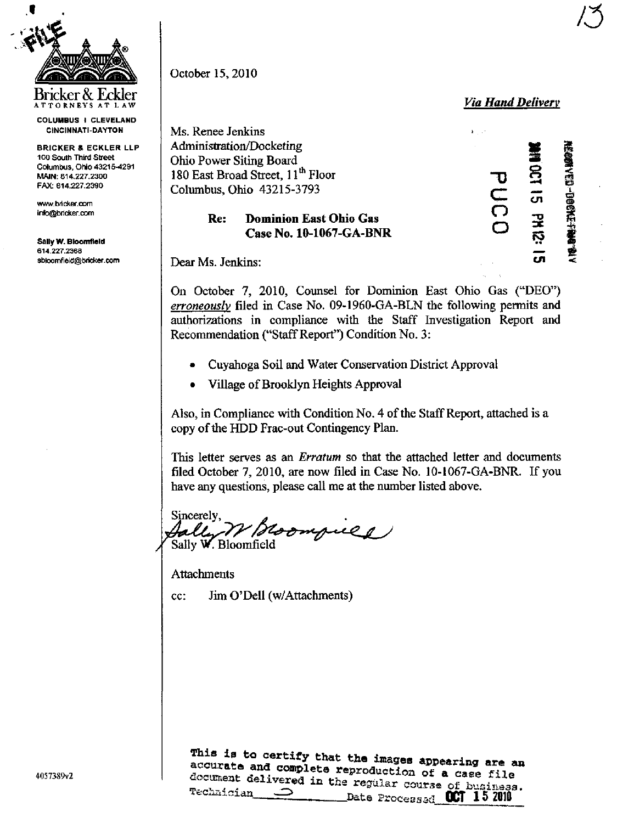

Bricker&Eckler ATTORNEY S AT LA W

COLUMBUS I CLEVELAND CINCINNATI-DAYTON

BRICKER & ECKLER LLP 100 South Third Street Columbus, Ohio 43215-4291 MAIN: 614.227.2300 FAX: 614.227.2390

[wwiv.bricker.com](http://wwiv.bricker.com) info@bricker.com

SallyW. Bioomfield 614.227.2368 sb!oomfield@bricker. com October 15,2010

Via Hand Delivery

 $^{\prime}$   $\sim$ 

Ms. Renee Jenkins Administration/Docketing Ohio Power Siting Board 180 East Broad Street, 11<sup>th</sup> Floor Turners and Turners and Turners and Turners and Turners and Turners and Turners and Turners and Turners and Turners and Turners and Turners and Turners and Turners and Turners and Turner Columbus, Ohio 43215-3793

# Re: Dominion East Ohio Gas Case No. 10-1067-GA-BNR

ter de E.  $\check{\subset}$  $\bar{\bm{\circ}}$ .<br>ت <u>ສ</u> cn  $\mathbf{z}$ F5 C/l  $\vec{a}$  $1.0$  for  $1.3\%$ Z

Dear Ms. Jenkins:

On October 7, 2010, Counsel for Dominion East Ohio Gas ("DEO") erroneously filed in Case No. 09-1960-GA-BLN the following permits and authorizations in compliance with the Staff Investigation Report and Recommendation ("Staff Report") Condition No. 3:

- Cuyahoga Soil and Water Conservation District Approval
- Village of Brooklyn Heights Approval

Also, in Compliance with Condition No. 4 of the Staff Report, attached is a copy of the HDD Frac-out Contingency Plan.

This letter serves as an *Erratum* so that the attached letter and documents filed October 7, 2010, are now filed in Case No. 10-1067-GA-BNR. If you have any questions, please call me at the number listed above.

Sincerely Roompull 1 Sally W. Bloomfield

Attachments

cc: Jim O'Dell (w/Attachments)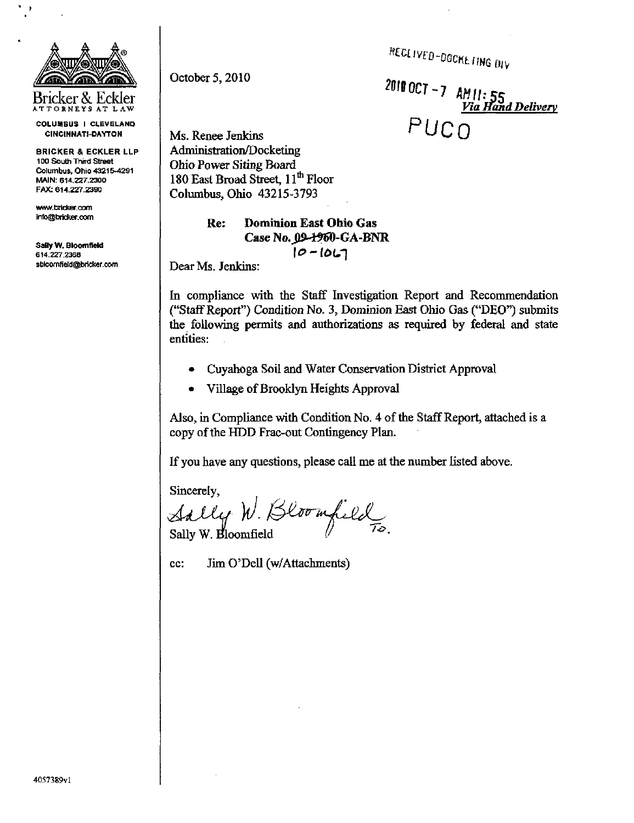RECLIVED-DOCKE TING DIV

October 5,2010

2010 OCT - 7  $AMII: 55$ <br>Via Hand Delivery Ms. Renee Jenkins  $PUCO$ 

Administration/Docketing Ohio Power Siting Board 180 East Broad Street, 11<sup>th</sup> Floor Columbus, Ohio 43215-3793

> Re: Dominion East Ohio Gas Case No. 09-1960-GA-BNR  $10 - 10L7$

Dear Ms. Jenkins:

In compliance with the Staff Investigation Report and Recommendation ("Staff Report") Condition No. 3, Dominion East Ohio Gas ("DEO") submits the following permits and authorizations as required by federal and state entities:

- Cuyahoga Soil and Water Conservation District Approval
- Village of Brooklyn Heights Approval

Also, in Compliance with Condition No. 4 of the Staff Report, attached is a copy of the HDD Frac-out Contingency Plan.

If you have any questions, please call me at the number listed above.

Sincerely,

Sally W. Bloomfield

cc: Jim O'Dell (w/Attachments)

Bricker & Eckler ATTORNEYS AT LAW

COLUMBUS I CLEVELAND CINCINNATI-OAYTON

BRICKER & ECKLER LLP 100 South Third Street Columbus, Ohio 43215-4291 MAIN: 614.227.2300 FAX: 614.227.2390

[www.bricker.cxm](http://www.bricker.cxm)  [info@bricker.com](mailto:info@bricker.com)

Sally W. Bloomfield 614.227.236B sbloomfield@brid(er.com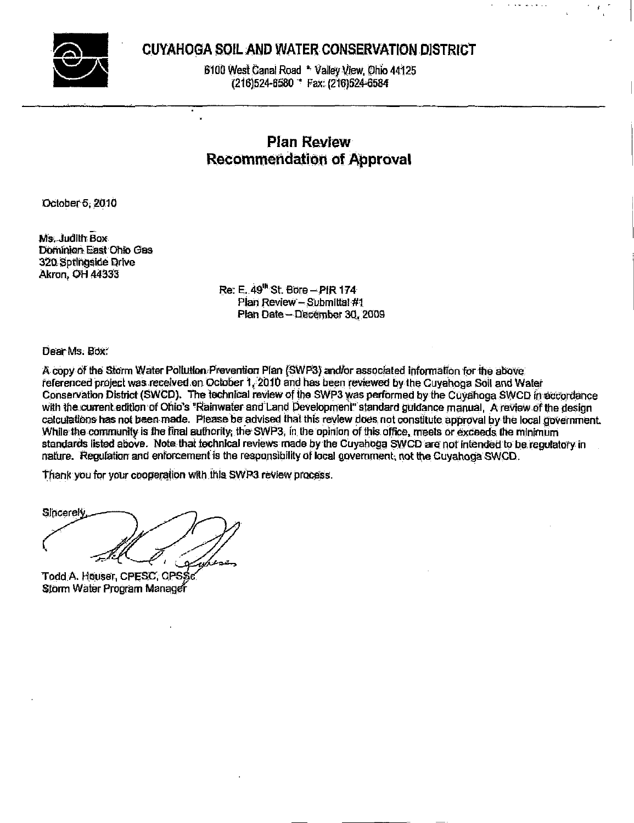

# CUYAHOGA SOIL AND WATER CONSERVATION DISTRICT

6100 West Canal Road \* Valley View, Ohio 44125 (216)524-6580 \* Fax: (216)524-6584

# **Plan Review Recommendation of Approval**

October 5, 2010

Ms. Judith Box Dominion East Ohio Gas 320 Springside Drive Akron, OH 44333

> Re: E. 49<sup>th</sup> St. Bore - PIR 174 Plan Review - Submittal #1 Plan Date - December 30, 2009

Dear Ms. Box:

A copy of the Storm Water Pollution Prevention Plan (SWP3) and/or associated information for the above referenced project was received on October 1, 2010 and has been reviewed by the Cuyahoga Soil and Water Conservation District (SWCD). The fechnical review of the SWP3 was performed by the Cuvahoga SWCD in accordance with the current edition of Ohio's "Rainwater and Land Development" standard guidance manual. A review of the design calculations has not been made. Please be advised that this review does not constitute approval by the local government. While the community is the final authority; the SWP3, in the opinion of this office, meets or exceeds the minimum standards listed above. Note that technical reviews made by the Cuyahoga SWCD are not intended to be regulatory in nature. Regulation and enforcement is the responsibility of local government, not the Cuyahoga SWCD.

Thank you for your cooperation with this SWP3 review process.

Sincerely

Todd A. Houser, CPESC, CPSSc Storm Water Program Manager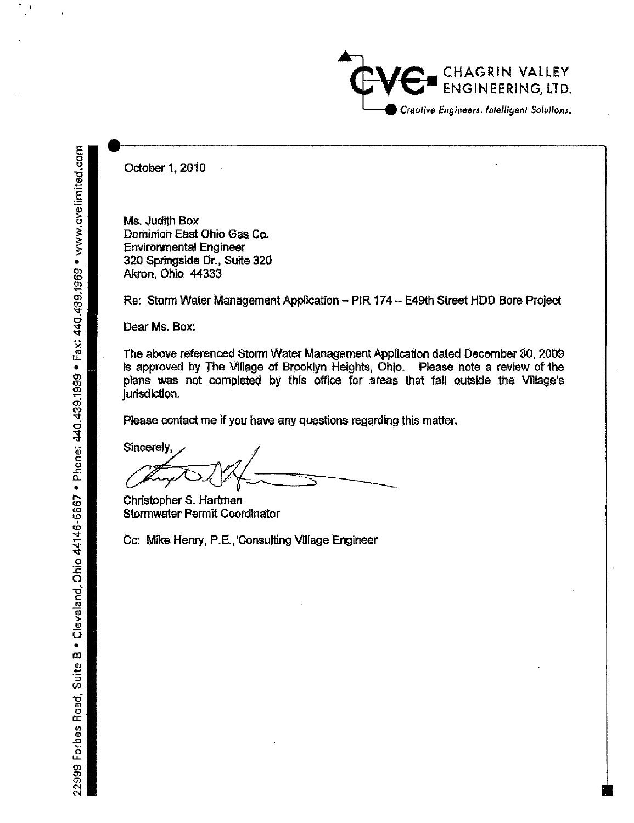

October 1, 2010

Ms. Judith Box Dominion East Ohio Gas Co. **Environmental Engineer** 320 Springside Dr., Suite 320 Akron, Ohio 44333

Re: Storm Water Management Application - PIR 174 - E49th Street HDD Bore Project

Dear Ms. Box:

The above referenced Storm Water Management Application dated December 30, 2009 is approved by The Village of Brooklyn Heights, Ohio. Please note a review of the plans was not completed by this office for areas that fall outside the Village's jurisdiction.

Please contact me if you have any questions regarding this matter.

Sincerely,

Christopher S. Hartman Stormwater Permit Coordinator

Cc: Mike Henry, P.E., Consulting Village Engineer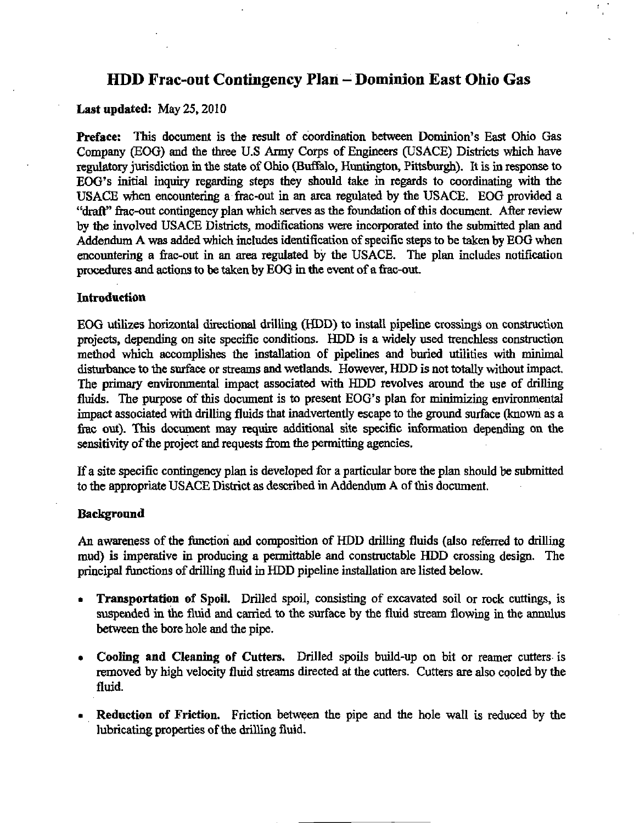# HDD Frac-out Contingency Plan - Dominion East Ohio Gas

#### Last updated: May 25,2010

Preface: This document is the result of coordination between Dominion's East Ohio Gas Company (EOG) and the three U.S Army Corps of Engineers (USACE) Districts which have regulatory jurisdiction in the state of Ohio (Buffalo, Huntington, Pittsburgh). It is in response to EOG's initial inquiry regarding steps they should take in regards to coordinating with the USACE when encountering a frac-out in an area regulated by the USACE. EOG provided a "draft" fiac-out contingency plan which serves as the foundation of this document. After review by the involved USACE Districts, modifications were incorporated into the submitted plan and Addendum A was added which includes identification of specific steps to be taken by EOG when encountering a frac-out in an area regulated by the USACE. The plan includes notification procedures and actions to be taken by EOG in the event of a fiac-out.

#### Introduction

EOG utilizes horizontal directional drilling (HDD) to install pipeline crossings on construction projects, depending on site specific conditions. HDD is a widely used trenchless construction method which accomplishes the installation of pipelines and buried utilities with minimal disturbance to the surface or streams and wetlands. However, HDD is not totally without impact. The primary environmental impact associated with HDD revolves around the use of drilling fluids. The purpose of this document is to present EOG's plan for minimizing environmental impact associated with drilling fluids that inadvertentiy escape to the ground surface (known as a firac out). This document may require additional site specific information depending on the sensitivity of the project and requests from the permitting agencies.

If a site specific contingency plan is developed for a particular bore the plan should be submitted to the appropriate USACE District as described in Addendum A of this document.

#### Background

An awareness of the fimction and composition of HDD drilling fluids (also referred to drilling mud) is imperative in producing a permittable and constructable HDD crossing design. The principal fimctions of drilling fluid in HDD pipeline installation are listed below.

- Transportation of SpoiL Drilled spoil, consisting of excavated soil or rock cuttings, is suspended in the fluid and carried to the surface by the fluid stream flowing in the annulus between the bore hole and the pipe.
- Cooling and Cleaning of Cutters. Drilled spoils build-up on bit or reamer cutters is removed by high velocity fluid streams directed at the cutters. Cutters are also cooled by the fluid.
- Reduction of Friction. Friction between the pipe and the hole wall is reduced by the lubricating properties of the drilling fluid.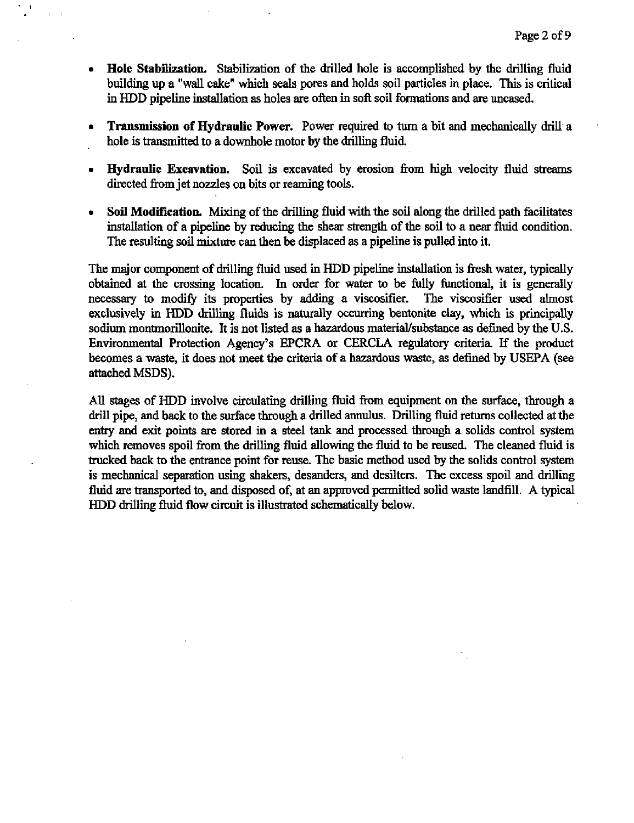- Hole Stabilization. Stabilization of the drilled hole is accomplished by the drilling fluid building up a "wall cake" which seals pores and holds soil particles in place. This is critical in HDD pipeline mstallation as holes are often in soft soil formations and are uncased.
- Transmission of Hydraulic Power. Power required to turn a bit and mechanically drill a hole is transmitted to a downhole motor by the drilling fluid.
- Hydraulic Excavation. Soil is excavated by erosion from high velocity fluid streams directed from jet nozzles on bits or reaming tools.
- Soil Modification. Mixing of the drilling fluid with the soil along the drilled path facilitates installation of a pipeline by reducing the shear strength of the soil to a near fluid condition. The resulting soil mixture can then be displaced as a pipeline is pulled into it.

The major component of drilling fluid used in HDD pipeline installation is fresh water, typically obtained at the crossing location. In order for water to be fully functional, it is generally necessary to modify its properties by adding a viscosifier. The viscosifier used almost exclusively in HDD drilling fluids is naturally occurring bentonite clay, which is principally sodium montmorillonite. It is not listed as a hazardous material/substance as defined by the U.S. Environmental Protection Agency's EPCRA or CERCLA regulatory criteria. If the product becomes a waste, it does not meet the criteria of a hazardous waste, as defined by USEPA (see attached MSDS).

All stages of HDD involve circulating drilling fluid from equipment on the surface, through a drill pipe, and back to the surface through a drilled annulus. Drilling fluid retums collected at the entry and exit points are stored in a steel tank and processed through a solids control system which removes spoil from the drilling fluid allowing the fluid to be reused. The cleaned fluid is trucked back to the entrance point for reuse. The basic method used by the solids control system is mechanical separation using shakers, desanders, and desilters. The excess spoil and drilling fluid are transported to, and disposed of, at an approved permitted solid waste landfill. A typical HDD drilling fluid flow circuit is illustrated schematically below.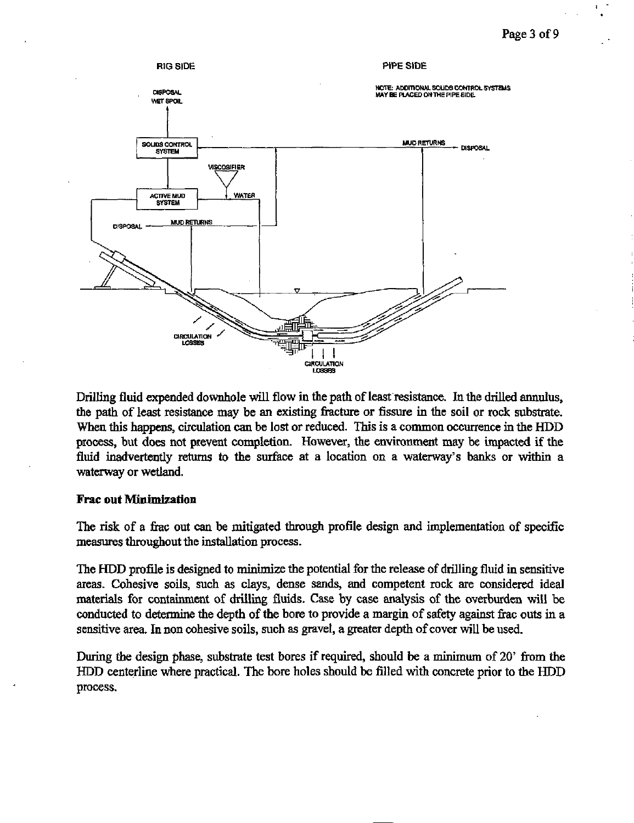

Drilling fluid expended downhole will flow in the path of least resistance. In the drilled annulus, the path of least resistance may be an existing firacture or fissure in the soil or rock substrate. When this happens, circulation can be lost or reduced. This is a common occurrence in the HDD process, but does not prevent completion. However, the environment may be impacted if the fluid inadvertentiy retums to the surface at a location on a waterway's banks or within a waterway or wetiand.

#### Frac out Minimization

The risk of a frac out can be mitigated through profile design and implementation of specific measures throughout the installation process.

The HDD profile is designed to minimize the potential for the release of drilling fluid in sensitive areas. Cohesive soils, such as clays, dense sands, and competent rock are considered ideal materials for containment of drilling fluids. Case by case analysis of the overburden will be conducted to determine the depth of the bore to provide a margin of safety against frac outs in a sensitive area. In non cohesive soils, such as gravel, a greater depth of cover will be used.

During the design phase, substrate test bores if required, should be a minimum of 20' from the HDD centerline where practical. The bore holes should be filled with concrete prior to the HDD process.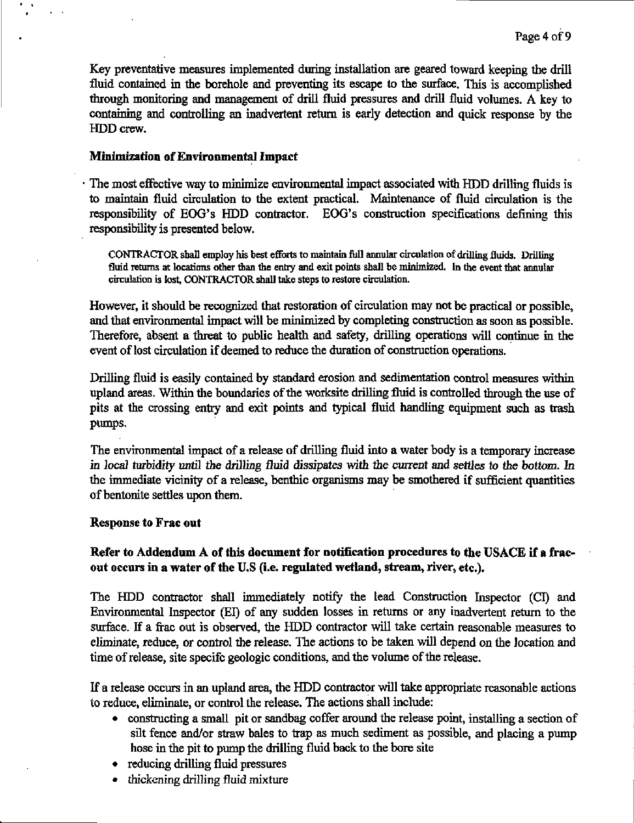Key preventative measures implemented during installation are geared toward keeping the drill fluid contained in the borehole and preventing its escape to the surface. This is accomplished through monitoring and management of drill fluid pressures and drill fluid volumes. A key to containing and controlling an inadvertent retum is early detection and quick response by the HDD crew.

## Minimization of Environmental Impact

The most effective way to minimize environmental impact associated with HDD drilling fluids is to maintain fluid circulation to the extent practical. Maintenance of fluid circulation is the responsibility of EOG's HDD contractor. EOG's constmction specifications defining this responsibility is presented below.

CONTRACTOR sbaD employ his best efforts to maintain full annular circulation of drilling fluids. Drilling fluid returns at locations other than the entry and exit points shall be minimized. In the event that annular circulation is lost, CONTRACTOR shall take steps to restore circulation.

However, it should be recognized that restoration of circulation may not be practical or possible, and that environmental impact will be minimized by completing construction as soon as possible. Therefore, absent a threat to public health and safety, drilling operations will continue in the event of lost circulation if deemed to reduce the duration of construction operations.

Drilling fluid is easily contained by standard erosion and sedimentation control measures within upland areas. Within the boundaries of the worksite drilling fluid is controlled through the use of pits at the crossing entry and exit points and typical fluid handling equipment such as trash pumps.

The environmental impact of a release of drilling fluid into a water body is a temporary increase in local turbidity until the drilling fluid dissipates with the current and setties to the bottom. In the immediate vicinity of a release, benthic organisms may be smothered if sufficient quantities of bentonite settles upon them.

## Response to Frac out

# Refer to Addendum A of this document for notification procedures to the USACE if a fracout occurs in a water of the U.S (i.e. regulated wetland, stream, river, etc.).

The HDD contractor shall immediately notify the lead Construction Inspector (CI) and Environmental Inspector (EI) of any sudden losses in returns or any inadvertent return to the surface. If a frac out is observed, the HDD contractor will take certain reasonable measures to eliminate, reduce, or control the release. The actions to be taken will depend on the location and time of release, site specifc geologic conditions, and the volume of the release.

If a release occurs in an upland area, the HDD contractor will take appropriate reasonable actions to reduce, eliminate, or control the release. The actions shall include:

- constructing a small pit or sandbag coffer around the release point, installing a section of silt fence and/or straw bales to trap as much sediment as possible, and placing a pump hose in the pit to pump the drilling fluid back to the bore site
- reducing drilling fluid pressures
- thickening drilling fluid mixture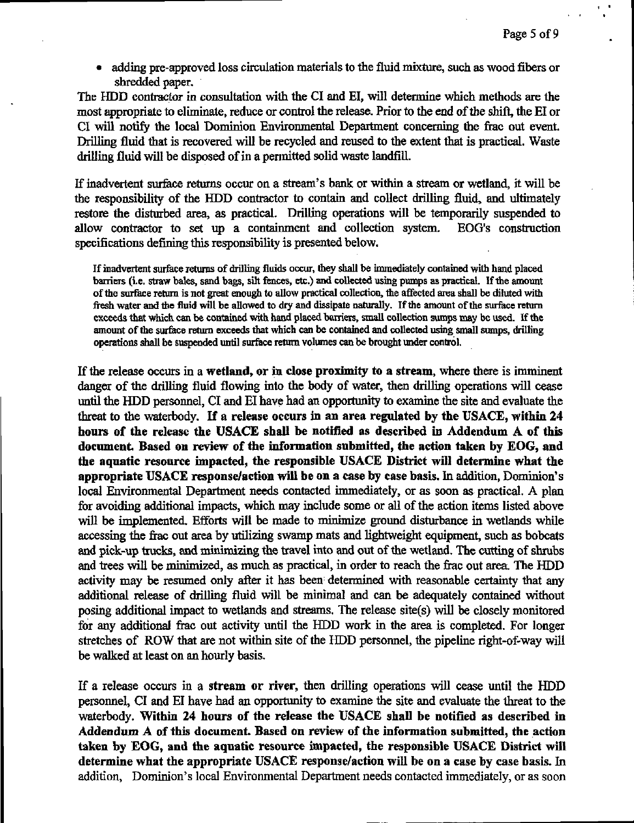• adding pre-approved loss circulation materials to the fluid mixture, such as wood fibers or shredded paper.

The HDD contractor in consultation with the CI and EI, will determine which methods are the most appropriate to eliminate, reduce or control the release. Prior to the end of the shift, the EI or CI will notify the local Dominion Environmental Department concerning the frac out event. Drilling fluid that is recovered will be recycled and reused to the extent that is practical. Waste drilling fluid will be disposed of in a permitted solid waste landfill.

If inadvertent surface retums occur on a stream's bank or within a stream or wetiand, it will be the responsibility of the HDD contractor to contain and collect drilling fluid, and ultimately restore the disturbed area, as practical. Drilling operations will be temporarily suspended to allow contractor to set up a containment and collection system. EOG's construction specifications defining this responsibihty is presented below.

If inadvertent surfece returns of drilling fluids occur, they shaU be immediately contained with hand placed barriers (i.e. straw bales, sand bags, silt fences, etc.) and collected using pumps as practical. If the amount ofthe surface retum is not great enough to allow practical collection, the affected area shaU be diluted with fresh water and the fluid will be allowed to dry and dissipate naturally. If the amount ofthe surface return exceeds that which can be contained with hand placed barriers, small collection sumps may be used. If the amount of the surface return exceeds that which can be contained and collected using small sumps, drilling operations shall be suspended until surfece retum volumes can be brought under control.

If the release occurs in a wetland, or in close proximity to a stream, where there is imminent danger of the drilling fluid flowing into the body of water, then drilling operations will cease until the HDD personnel, CI and EI have had an opportunity to examine the site and evaluate the threat to the waterbody. If a release occurs in an area regulated by the USACE, within 24 hours of the release the USACE shall be notified as described in Addendum A of this document. Based on review of the information submitted, the action taken by EOG, and the aquatic resource impacted, the responsible USACE District will determine what the appropriate USACE response/action will be on a case by case basis. In addition, Dominion's local Environmental Department needs contacted immediately, or as soon as practical. A plan for avoiding additional impacts, which may include some or all of the action items listed above will be implemented. Efforts will be made to minimize ground disturbance in wetlands while accessing the frac out area by utilizing swamp mats and lightweight equipment, such as bobcats and pick-up trucks, and minimizing the travel into and out of the wetland. The cutting of shrubs and trees will be minimized, as much as practical, in order to reach the fiac out area. The HDD activity may be resumed only after it has been determined with reasonable certainty that any additional release of driUing fluid will be minimal and can be adequately contained without posing additional impact to wetiands and streams. The release site(s) will be closely monitored for any additional frac out activity until the HDD work in the area is completed. For longer stretches of ROW that are not within site of the HDD personnel, the pipeline right-of-way will be walked at least on an hourly basis.

If a release occurs in a stream or river, then drilling operations will cease until the HDD personnel, CI and EI have had an opportunity to examine the site and evaluate the threat to the waterbody. Within 24 hours of the release the USACE shaU be notified as described in Addendum A of this document. Based on review of the information submitted, the action taken by EOG, and the aquatic resource impacted, the responsible USACE District will determine what the appropriate USACE response/action will be on a case by case basis. In addition. Dominion's local Environmental Department needs contacted immediately, or as soon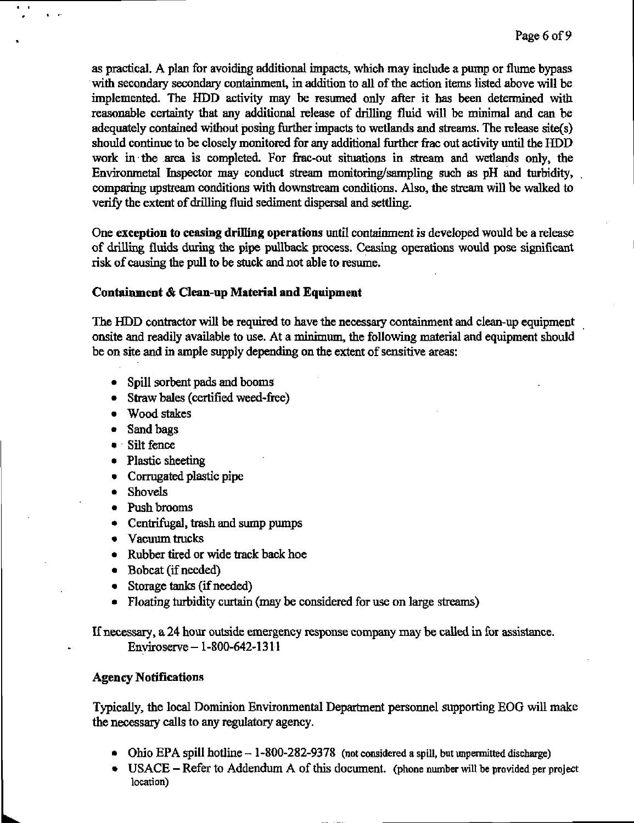as practical. A plan for avoiding additional impacts, which may include a pump or flume bypass with secondary secondary containment, in addition to all of the action items listed above will be implemented. The HDD activity may be resumed only after it has been determined with reasonable certainty that any additional release of drilling fluid will be minimal and can be adequately contained without posing further impacts to wetlands and streams. The release site(s) should continue to be closely monitored for any additional further frac out activity until the HDD work in the area is completed. For frac-out situations in stream and wetiands only, the Environmetal Inspector may conduct stream monitoring/sampling such as pH and turbidity, comparing upstream conditions with downstream conditions. Also, the stream will be walked to verify the extent of drilling fluid sediment dispersal and settling.

One exception to ceasing drilling operations until containment is developed would be a release of drilling fluids during the pipe pullback process. Ceasing operations would pose significant risk of causing the pull to be stuck and not able to resume.

#### Containment & Clean-up Material and Equipment

The HDD contractor will be required to have the necessary containment and clean-up equipment onsite and readily available to use. At a minimiun, the following material and equipment should be on site and in ample supply depending on the extent of sensitive areas:

- Spill sorbent pads and booms
- Straw bales (certified weed-free)
- Wood stakes
- Sand bags

• I

- Silt fence
- Plastic sheeting
- Cormgated plastic pipe
- Shovels
- Push brooms
- Centrifugal, trash and sump pumps
- Vacuum trucks
- Rubber tired or wide track back hoe
- Bobcat (if needed)
- Storage tanks (if needed)
- Floating turbidity curtain (may be considered for use on large streams)

If necessary, a 24 hour outside emergency response company may be called in for assistance. Enviroserve-1-800-642-1311

#### Agency Notifications

Typically, the local Dominion Environmental Department persormel supporting EOG will make the necessary calls to any regulatory agency.

- Ohio EPA spill hotline  $-1$ -800-282-9378 (not considered a spill, but unpermitted discharge)
- USACE Refer to Addendum A of this document. (phone number will be provided per project location)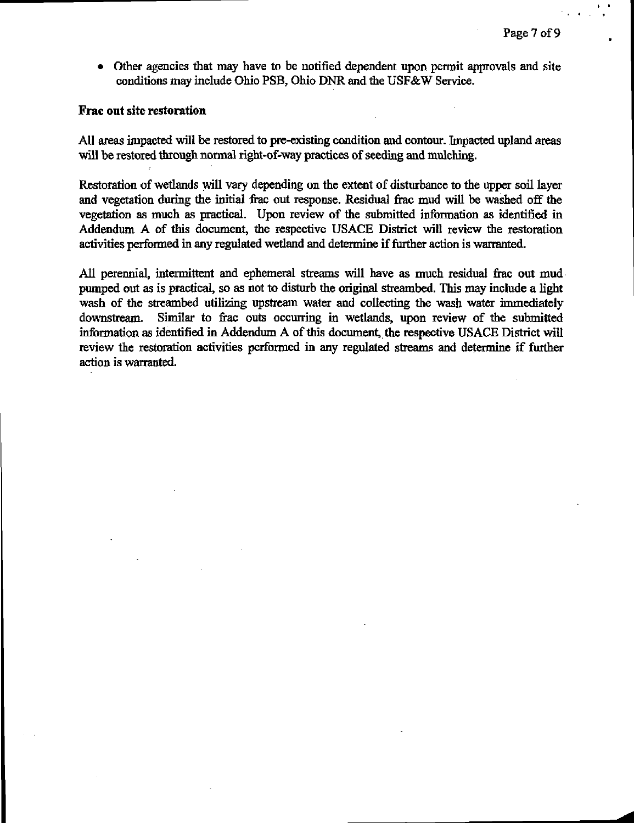• Other agencies that may have to be notified dependent upon permit approvals and site conditions may include Ohio PSB, Ohio DNR and the USF&W Service.

## Frac out site restoration

All areas impacted will be restored to pre-existing condition and contour. Impacted upland areas will be restored through normal right-of-way practices of seeding and mulching.

Restoration of wetiands will vary depending on the extent of disturbance to the upper soil layer and vegetation during the initial frac out response. Residual frac mud will be washed off the vegetation as much as practical. Upon review of the submitted information as identified in Addendum A of this document, the respective USACE District will review the restoration activities performed in any regulated wetland and determine if further action is warranted.

All perennial, intermittent and ephemeral streams will have as much residual firac out mud pumped out as is practical, so as not to disturb the original streambed. This may include a light wash of the streambed utilizing upstream water and collecting the wash water immediately downstream. Similar to frac outs occurring in wetiands, upon review of the submitted information as identified in Addendum A of this document, the respective USACE District will review the restoration activities performed in any regulated streams and determine if further action is warranted.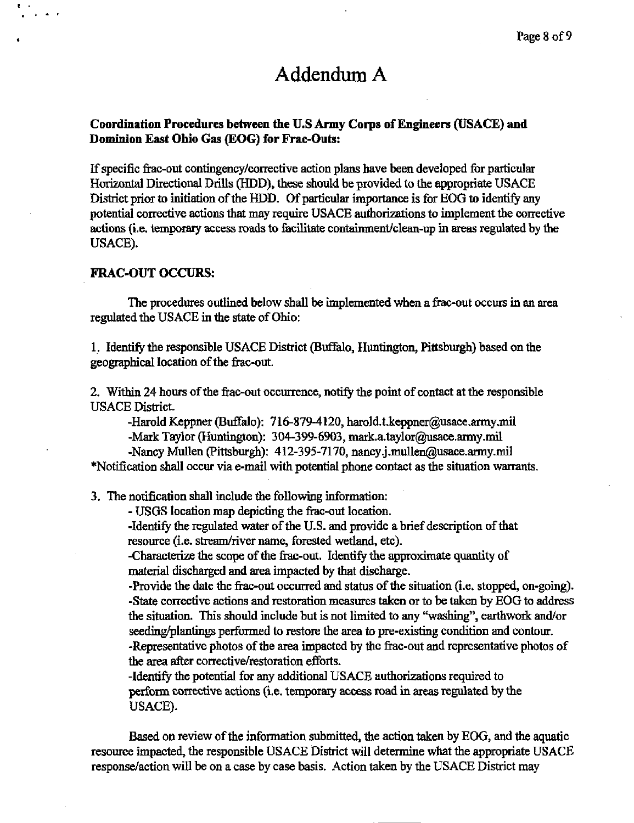# Addendum A

# Coordination Procedures between the U.S Army Corps of Engineers (USACE) and Dommion East Ohio Gas (EOG) for Frac-Outs:

If specific firac-out contingency/corrective action plans have been developed for particular Horizontal Directional Drills (HDD), these should be provided to the appropriate USACE District prior to initiation of the HDD. Of particular importance is for EOG to identify any potential corrective actions that may require USACE authorizations to implement the corrective actions (i.e. temporary access roads to facilitate containment/clean-up in areas regulated by the USACE).

### FRAC-OUT OCCURS:

The procedures outlined below shall be implemented when a frac-out occurs in an area regulated the USACE in the state of Ohio:

1. Identify the responsible USACE District (Buffalo, Huntington, Pittsburgh) based on the geographical location of the frac-out.

2. Within 24 hours of the frac-out occurrence, notify the point of contact at the responsible USACE District.

-Harold Keppner (Buffalo): 716-879-4120, harold.t.keppner@usace.army,mil -Mark Taylor (Huntington): 304-399-6903, [mark.a.taylor@usace.army.mil](mailto:mark.a.taylor@usace.army.mil) 

-Nancy Mullen (Pittsburgh): 412-395-7170, nancy.j.mullen@usace.army.mil \*Notification shall occur via e-mail with potential phone contact as the situation warrants.

3. The notification shall include the following information:

- USGS location map depicting the firac-out location.

-Identify the regulated water of the U.S. and provide a brief description of that resource (i.e. stream/river name, forested wetland, etc).

-Characterize the scope of the frac-out. Identify the approximate quantity of material discharged and area impacted by that discharge.

-Provide the date the frac-out occurred and status of the situation (i.e. stopped, on-going). -State corrective actions and restoration measures taken or to be taken by EOG to address the situation. This should include but is not limited to any "washing", earthwork and/or seeding/plantings performed to restore the area to pre-existing condition and contour. -Representative photos of the area impacted by the frac-out and representative photos of the area after corrective/restoration efforts.

-Identify the potential for any additional USACE authorizations reqmred to perform conective actions (i.e. temporary access road in areas regulated by the USACE).

Based on review of the information submitted, the action taken by EOG, and the aquatic resource impacted, the responsible USACE District will determine what the appropriate USACE response/action will be on a case by case basis. Action taken by the USACE District may